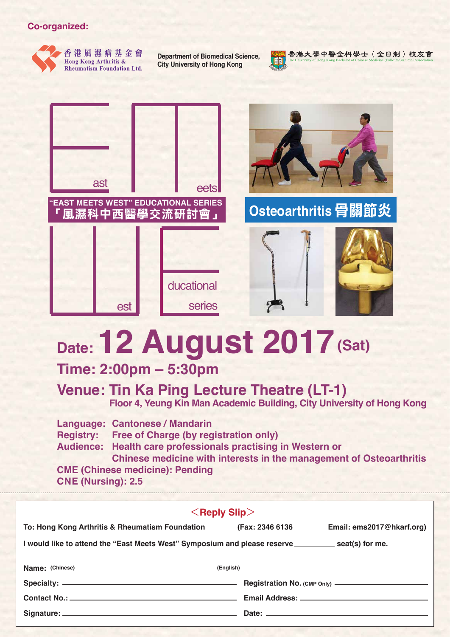### **Venue: Tin Ka Ping Lecture Theatre (LT-1) Floor 4, Yeung Kin Man Academic Building, City University of Hong Kong**

# **Time: 2:00pm – 5:30pm Date: 12 August 2017 (Sat)**

**Department of Biomedical Science, City University of Hong Kong**



香港大學中醫全科學士 (全日制) 校友會

**Language: Cantonese / Mandarin Registry: Free of Charge (by registration only) Audience: Health care professionals practising in Western or Chinese medicine with interests in the management of Osteoarthritis CME (Chinese medicine): Pending**



#### **Co-organized:**





| $\leq$ Reply Slip $>$                                                                                |                 |                                                  |  |
|------------------------------------------------------------------------------------------------------|-----------------|--------------------------------------------------|--|
| To: Hong Kong Arthritis & Rheumatism Foundation                                                      | (Fax: 2346 6136 | Email: ems2017@hkarf.org)                        |  |
| I would like to attend the "East Meets West" Symposium and please reserve __________ seat(s) for me. |                 |                                                  |  |
| Name: (Chinese) <b>Name:</b> (Chinese)                                                               |                 |                                                  |  |
|                                                                                                      |                 | Registration No. (CMP Only) ———————————————————— |  |
|                                                                                                      |                 |                                                  |  |
|                                                                                                      |                 |                                                  |  |